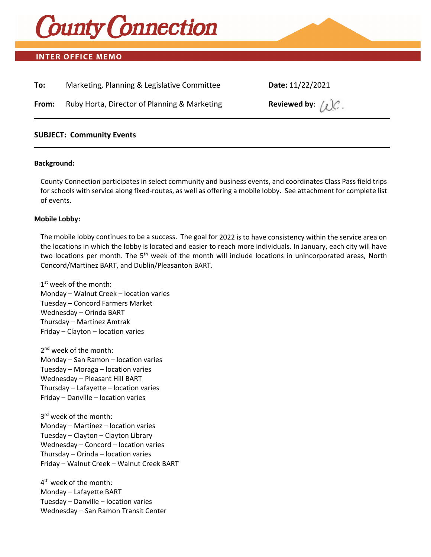

# **INTER OFFICE MEMO**

| To:   | Marketing, Planning & Legislative Committee  | Date: 11/22/2021             |
|-------|----------------------------------------------|------------------------------|
| From: | Ruby Horta, Director of Planning & Marketing | Reviewed by: $\bigwedge C$ . |

# **SUBJECT: Community Events**

#### **Background:**

County Connection participates in select community and business events, and coordinates Class Pass field trips for schools with service along fixed-routes, as well as offering a mobile lobby. See attachment for complete list of events.

#### **Mobile Lobby:**

The mobile lobby continues to be a success. The goal for 2022 is to have consistency within the service area on the locations in which the lobby is located and easier to reach more individuals. In January, each city will have two locations per month. The 5<sup>th</sup> week of the month will include locations in unincorporated areas, North Concord/Martinez BART, and Dublin/Pleasanton BART.

 $1<sup>st</sup>$  week of the month: Monday – Walnut Creek – location varies Tuesday – Concord Farmers Market Wednesday – Orinda BART Thursday – Martinez Amtrak Friday – Clayton – location varies

2<sup>nd</sup> week of the month: Monday – San Ramon – location varies Tuesday – Moraga – location varies Wednesday – Pleasant Hill BART Thursday – Lafayette – location varies Friday – Danville – location varies

3<sup>rd</sup> week of the month: Monday – Martinez – location varies Tuesday – Clayton – Clayton Library Wednesday – Concord – location varies Thursday – Orinda – location varies Friday – Walnut Creek – Walnut Creek BART

4<sup>th</sup> week of the month: Monday – Lafayette BART Tuesday – Danville – location varies Wednesday – San Ramon Transit Center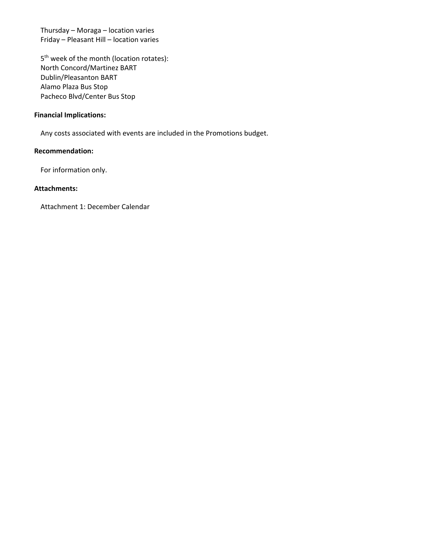Thursday – Moraga – location varies Friday – Pleasant Hill – location varies

5<sup>th</sup> week of the month (location rotates): North Concord/Martinez BART Dublin/Pleasanton BART Alamo Plaza Bus Stop Pacheco Blvd/Center Bus Stop

## **Financial Implications:**

Any costs associated with events are included in the Promotions budget.

# **Recommendation:**

For information only.

## **Attachments:**

Attachment 1: December Calendar